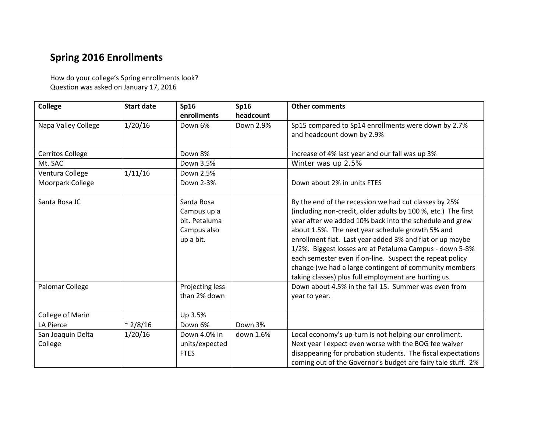## **Spring 2016 Enrollments**

How do your college's Spring enrollments look? Question was asked on January 17, 2016

| <b>College</b>          | <b>Start date</b> | <b>Sp16</b>     | <b>Sp16</b> | <b>Other comments</b>                                         |
|-------------------------|-------------------|-----------------|-------------|---------------------------------------------------------------|
|                         |                   | enrollments     | headcount   |                                                               |
| Napa Valley College     | 1/20/16           | Down 6%         | Down 2.9%   | Sp15 compared to Sp14 enrollments were down by 2.7%           |
|                         |                   |                 |             | and headcount down by 2.9%                                    |
|                         |                   |                 |             |                                                               |
| <b>Cerritos College</b> |                   | Down 8%         |             | increase of 4% last year and our fall was up 3%               |
| Mt. SAC                 |                   | Down 3.5%       |             | Winter was up 2.5%                                            |
| Ventura College         | 1/11/16           | Down 2.5%       |             |                                                               |
| Moorpark College        |                   | Down 2-3%       |             | Down about 2% in units FTES                                   |
|                         |                   |                 |             |                                                               |
| Santa Rosa JC           |                   | Santa Rosa      |             | By the end of the recession we had cut classes by 25%         |
|                         |                   | Campus up a     |             | (including non-credit, older adults by 100 %, etc.) The first |
|                         |                   | bit. Petaluma   |             | year after we added 10% back into the schedule and grew       |
|                         |                   | Campus also     |             | about 1.5%. The next year schedule growth 5% and              |
|                         |                   | up a bit.       |             | enrollment flat. Last year added 3% and flat or up maybe      |
|                         |                   |                 |             | 1/2%. Biggest losses are at Petaluma Campus - down 5-8%       |
|                         |                   |                 |             | each semester even if on-line. Suspect the repeat policy      |
|                         |                   |                 |             | change (we had a large contingent of community members        |
|                         |                   |                 |             | taking classes) plus full employment are hurting us.          |
| Palomar College         |                   | Projecting less |             | Down about 4.5% in the fall 15. Summer was even from          |
|                         |                   | than 2% down    |             | year to year.                                                 |
|                         |                   |                 |             |                                                               |
| College of Marin        |                   | Up 3.5%         |             |                                                               |
| <b>LA Pierce</b>        | $\sim$ 2/8/16     | Down 6%         | Down 3%     |                                                               |
| San Joaquin Delta       | 1/20/16           | Down 4.0% in    | down 1.6%   | Local economy's up-turn is not helping our enrollment.        |
| College                 |                   | units/expected  |             | Next year I expect even worse with the BOG fee waiver         |
|                         |                   | <b>FTES</b>     |             | disappearing for probation students. The fiscal expectations  |
|                         |                   |                 |             | coming out of the Governor's budget are fairy tale stuff. 2%  |